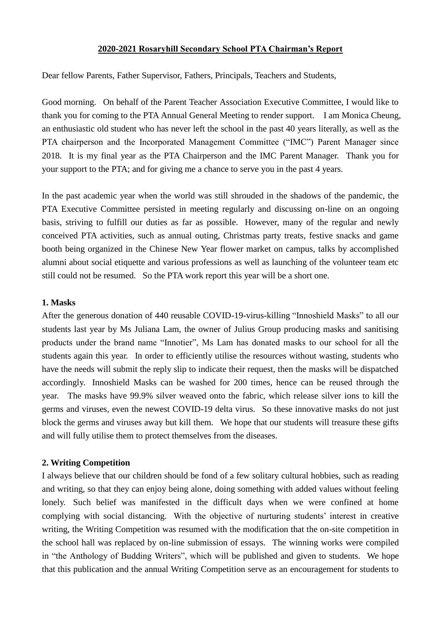### **2020-2021 Rosaryhill Secondary School PTA Chairman's Report**

Dear fellow Parents, Father Supervisor, Fathers, Principals, Teachers and Students,

Good morning. On behalf of the Parent Teacher Association Executive Committee, I would like to thank you for coming to the PTA Annual General Meeting to render support. I am Monica Cheung, an enthusiastic old student who has never left the school in the past 40 years literally, as well as the PTA chairperson and the Incorporated Management Committee ("IMC") Parent Manager since 2018. It is my final year as the PTA Chairperson and the IMC Parent Manager. Thank you for your support to the PTA; and for giving me a chance to serve you in the past 4 years.

In the past academic year when the world was still shrouded in the shadows of the pandemic, the PTA Executive Committee persisted in meeting regularly and discussing on-line on an ongoing basis, striving to fulfill our duties as far as possible. However, many of the regular and newly conceived PTA activities, such as annual outing, Christmas party treats, festive snacks and game booth being organized in the Chinese New Year flower market on campus, talks by accomplished alumni about social etiquette and various professions as well as launching of the volunteer team etc still could not be resumed. So the PTA work report this year will be a short one.

## **1. Masks**

After the generous donation of 440 reusable COVID-19-virus-killing "Innoshield Masks" to all our students last year by Ms Juliana Lam, the owner of Julius Group producing masks and sanitising products under the brand name "Innotier", Ms Lam has donated masks to our school for all the students again this year. In order to efficiently utilise the resources without wasting, students who have the needs will submit the reply slip to indicate their request, then the masks will be dispatched accordingly. Innoshield Masks can be washed for 200 times, hence can be reused through the year. The masks have 99.9% silver weaved onto the fabric, which release silver ions to kill the germs and viruses, even the newest COVID-19 delta virus. So these innovative masks do not just block the germs and viruses away but kill them. We hope that our students will treasure these gifts and will fully utilise them to protect themselves from the diseases.

# **2. Writing Competition**

I always believe that our children should be fond of a few solitary cultural hobbies, such as reading and writing, so that they can enjoy being alone, doing something with added values without feeling lonely. Such belief was manifested in the difficult days when we were confined at home complying with social distancing. With the objective of nurturing students' interest in creative writing, the Writing Competition was resumed with the modification that the on-site competition in the school hall was replaced by on-line submission of essays. The winning works were compiled in "the Anthology of Budding Writers", which will be published and given to students. We hope that this publication and the annual Writing Competition serve as an encouragement for students to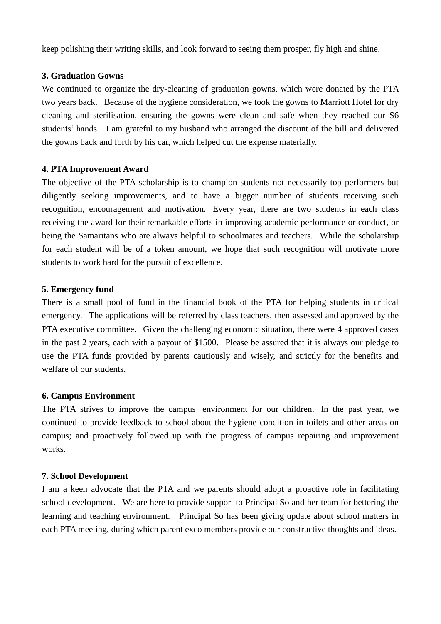keep polishing their writing skills, and look forward to seeing them prosper, fly high and shine.

## **3. Graduation Gowns**

We continued to organize the dry-cleaning of graduation gowns, which were donated by the PTA two years back. Because of the hygiene consideration, we took the gowns to Marriott Hotel for dry cleaning and sterilisation, ensuring the gowns were clean and safe when they reached our S6 students' hands. I am grateful to my husband who arranged the discount of the bill and delivered the gowns back and forth by his car, which helped cut the expense materially.

## **4. PTA Improvement Award**

The objective of the PTA scholarship is to champion students not necessarily top performers but diligently seeking improvements, and to have a bigger number of students receiving such recognition, encouragement and motivation. Every year, there are two students in each class receiving the award for their remarkable efforts in improving academic performance or conduct, or being the Samaritans who are always helpful to schoolmates and teachers. While the scholarship for each student will be of a token amount, we hope that such recognition will motivate more students to work hard for the pursuit of excellence.

## **5. Emergency fund**

There is a small pool of fund in the financial book of the PTA for helping students in critical emergency. The applications will be referred by class teachers, then assessed and approved by the PTA executive committee. Given the challenging economic situation, there were 4 approved cases in the past 2 years, each with a payout of \$1500. Please be assured that it is always our pledge to use the PTA funds provided by parents cautiously and wisely, and strictly for the benefits and welfare of our students.

### **6. Campus Environment**

The PTA strives to improve the campus environment for our children. In the past year, we continued to provide feedback to school about the hygiene condition in toilets and other areas on campus; and proactively followed up with the progress of campus repairing and improvement works.

# **7. School Development**

I am a keen advocate that the PTA and we parents should adopt a proactive role in facilitating school development. We are here to provide support to Principal So and her team for bettering the learning and teaching environment. Principal So has been giving update about school matters in each PTA meeting, during which parent exco members provide our constructive thoughts and ideas.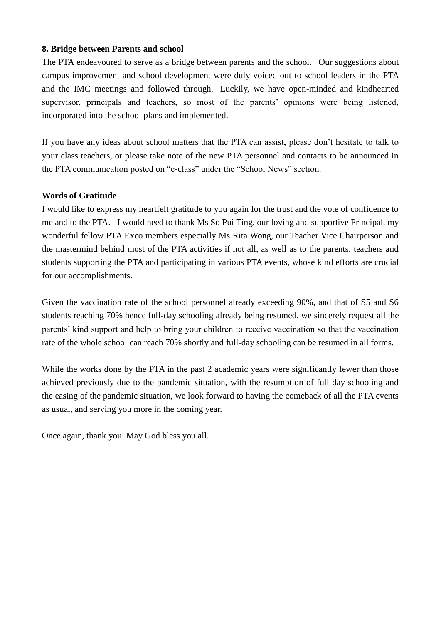## **8. Bridge between Parents and school**

The PTA endeavoured to serve as a bridge between parents and the school. Our suggestions about campus improvement and school development were duly voiced out to school leaders in the PTA and the IMC meetings and followed through. Luckily, we have open-minded and kindhearted supervisor, principals and teachers, so most of the parents' opinions were being listened, incorporated into the school plans and implemented.

If you have any ideas about school matters that the PTA can assist, please don't hesitate to talk to your class teachers, or please take note of the new PTA personnel and contacts to be announced in the PTA communication posted on "e-class" under the "School News" section.

## **Words of Gratitude**

I would like to express my heartfelt gratitude to you again for the trust and the vote of confidence to me and to the PTA. I would need to thank Ms So Pui Ting, our loving and supportive Principal, my wonderful fellow PTA Exco members especially Ms Rita Wong, our Teacher Vice Chairperson and the mastermind behind most of the PTA activities if not all, as well as to the parents, teachers and students supporting the PTA and participating in various PTA events, whose kind efforts are crucial for our accomplishments.

Given the vaccination rate of the school personnel already exceeding 90%, and that of S5 and S6 students reaching 70% hence full-day schooling already being resumed, we sincerely request all the parents' kind support and help to bring your children to receive vaccination so that the vaccination rate of the whole school can reach 70% shortly and full-day schooling can be resumed in all forms.

While the works done by the PTA in the past 2 academic years were significantly fewer than those achieved previously due to the pandemic situation, with the resumption of full day schooling and the easing of the pandemic situation, we look forward to having the comeback of all the PTA events as usual, and serving you more in the coming year.

Once again, thank you. May God bless you all.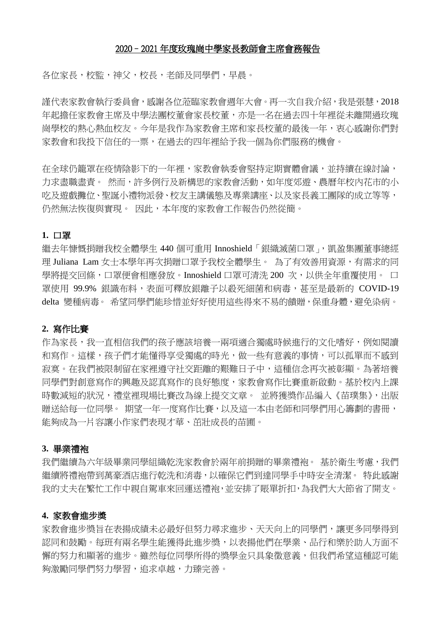#### 2020–2021 年度玫瑰崗中學家長教師會主席會務報告

各位家長,校監,神父,校長,老師及同學們,早晨。

謹代表家教會執行委員會,感謝各位蒞臨家教會週年大會。再一次自我介紹,我是張慧,2018 年起擔任家教會主席及中學法團校董會家長校董,亦是一名在過去四十年裡從未離開過玫瑰 崗學校的熱心熱血校友。今年是我作為家教會主席和家長校董的最後一年,衷心感謝你們對 家教會和我投下信任的一票,在過去的四年裡給予我一個為你們服務的機會。

在全球仍籠罩在疫情陰影下的一年裡,家教會執委會堅持定期實體會議,並持續在線討論, 力求盡職盡責。 然而,許多例行及新構思的家教會活動,如年度郊遊、農曆年校內花市的小 吃及遊戲攤位、聖誕小禮物派發、校友主講儀態及專業講座、以及家長義工團隊的成立等等, 仍然無法恢復與實現。 因此,本年度的家教會工作報告仍然從簡。

#### **1.** 口罩

繼去年慷慨捐贈我校全體學生 440 個可重用 Innoshield「銀織滅菌口罩」,凱盈集團董事總經 理 Juliana Lam 女士本學年再次捐贈口罩予我校全體學生。 為了有效善用資源,有需求的同 學將提交回條,口罩便會相應發放。Innoshield 口罩可清洗 200 次,以供全年重覆使用。 口 罩使用 99.9% 銀識布料,表面可釋放銀離子以殺死細菌和病毒,甚至是最新的 COVID-19 delta 變種病毒。 希望同學們能珍惜並好好使用這些得來不易的饋贈,保重身體,避免染病。

### **2.** 寫作比賽

作為家長,我一直相信我們的孩子應該培養一兩項適合獨處時候進行的文化嗜好,例如閱讀 和寫作。這樣,孩子們才能懂得享受獨處的時光,做一些有意義的事情,可以孤單而不感到 寂寞。在我們被限制留在家裡遵守社交距離的艱難日子中,這種信念再次被彰顯。為著培養 同學們對創意寫作的興趣及認真寫作的良好態度,家教會寫作比賽重新啟動。基於校內上課 時數減短的狀況,禮堂裡現場比賽改為線上提交文章。 並將獲獎作品編入《苗璞集》,出版 贈送給每一位同學。 期望一年一度寫作比賽,以及這一本由老師和同學們用心籌劃的書冊, 能夠成為一片容讓小作家們表現才華、茁壯成長的苗圃。

#### **3.** 畢業禮袍

我們繼續為六年級畢業同學組織乾洗家教會於兩年前捐贈的畢業禮袍。 基於衛生考慮,我們 繼續將禮袍帶到萬豪酒店進行乾洗和消毒,以確保它們到達同學手中時安全清潔。 特此感謝 我的丈夫在繁忙工作中親自駕車來回運送禮袍,並安排了賬單折扣,為我們大大節省了開支。

#### **4.** 家教會進步奬

家教會進步獎旨在表揚成績未必最好但努力尋求進步、天天向上的同學們,讓更多同學得到 認同和鼓勵。每班有兩名學生能獲得此進步獎,以表揚他們在學業、品行和樂於助人方面不 懈的努力和顯著的進步。雖然每位同學所得的獎學金只具象徵意義,但我們希望這種認可能 夠激勵同學們努力學習,追求卓越,力臻完善。